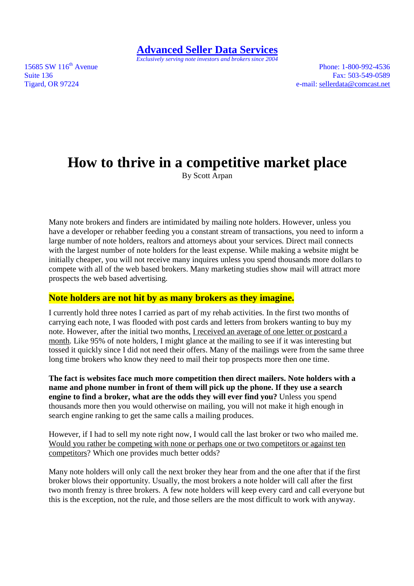*Exclusively serving note investors and brokers since 2004* 

15685 SW 116<sup>th</sup> Avenue Phone: 1-800-992-4536

Suite 136 **Fax:** 503-549-0589 Tigard, OR 97224 e-mail: sellerdata@comcast.net

# **How to thrive in a competitive market place**

By Scott Arpan

Many note brokers and finders are intimidated by mailing note holders. However, unless you have a developer or rehabber feeding you a constant stream of transactions, you need to inform a large number of note holders, realtors and attorneys about your services. Direct mail connects with the largest number of note holders for the least expense. While making a website might be initially cheaper, you will not receive many inquires unless you spend thousands more dollars to compete with all of the web based brokers. Many marketing studies show mail will attract more prospects the web based advertising.

#### **Note holders are not hit by as many brokers as they imagine.**

I currently hold three notes I carried as part of my rehab activities. In the first two months of carrying each note, I was flooded with post cards and letters from brokers wanting to buy my note. However, after the initial two months, I received an average of one letter or postcard a month. Like 95% of note holders, I might glance at the mailing to see if it was interesting but tossed it quickly since I did not need their offers. Many of the mailings were from the same three long time brokers who know they need to mail their top prospects more then one time.

**The fact is websites face much more competition then direct mailers. Note holders with a name and phone number in front of them will pick up the phone. If they use a search engine to find a broker, what are the odds they will ever find you?** Unless you spend thousands more then you would otherwise on mailing, you will not make it high enough in search engine ranking to get the same calls a mailing produces.

However, if I had to sell my note right now, I would call the last broker or two who mailed me. Would you rather be competing with none or perhaps one or two competitors or against ten competitors? Which one provides much better odds?

Many note holders will only call the next broker they hear from and the one after that if the first broker blows their opportunity. Usually, the most brokers a note holder will call after the first two month frenzy is three brokers. A few note holders will keep every card and call everyone but this is the exception, not the rule, and those sellers are the most difficult to work with anyway.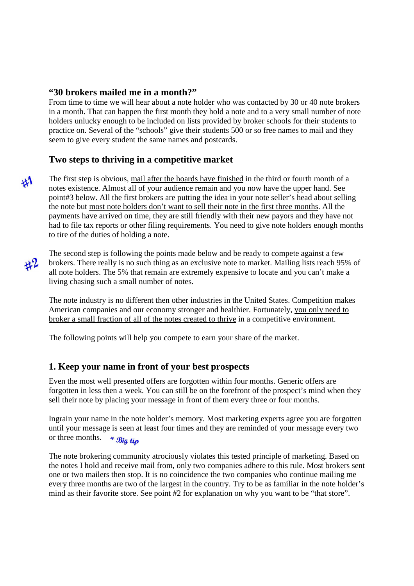#### **"30 brokers mailed me in a month?"**

From time to time we will hear about a note holder who was contacted by 30 or 40 note brokers in a month. That can happen the first month they hold a note and to a very small number of note holders unlucky enough to be included on lists provided by broker schools for their students to practice on. Several of the "schools" give their students 500 or so free names to mail and they seem to give every student the same names and postcards.

#### **Two steps to thriving in a competitive market**

The first step is obvious, mail after the hoards have finished in the third or fourth month of a notes existence. Almost all of your audience remain and you now have the upper hand. See point#3 below. All the first brokers are putting the idea in your note seller's head about selling the note but most note holders don't want to sell their note in the first three months. All the payments have arrived on time, they are still friendly with their new payors and they have not had to file tax reports or other filing requirements. You need to give note holders enough months to tire of the duties of holding a note.

 $#2$ 

 $41$ 

The second step is following the points made below and be ready to compete against a few brokers. There really is no such thing as an exclusive note to market. Mailing lists reach 95% of all note holders. The 5% that remain are extremely expensive to locate and you can't make a living chasing such a small number of notes.

The note industry is no different then other industries in the United States. Competition makes American companies and our economy stronger and healthier. Fortunately, you only need to broker a small fraction of all of the notes created to thrive in a competitive environment.

The following points will help you compete to earn your share of the market.

#### **1. Keep your name in front of your best prospects**

Even the most well presented offers are forgotten within four months. Generic offers are forgotten in less then a week. You can still be on the forefront of the prospect's mind when they sell their note by placing your message in front of them every three or four months.

Ingrain your name in the note holder's memory. Most marketing experts agree you are forgotten until your message is seen at least four times and they are reminded of your message every two or three months.  $*$  **Big tip** 

The note brokering community atrociously violates this tested principle of marketing. Based on the notes I hold and receive mail from, only two companies adhere to this rule. Most brokers sent one or two mailers then stop. It is no coincidence the two companies who continue mailing me every three months are two of the largest in the country. Try to be as familiar in the note holder's mind as their favorite store. See point #2 for explanation on why you want to be "that store".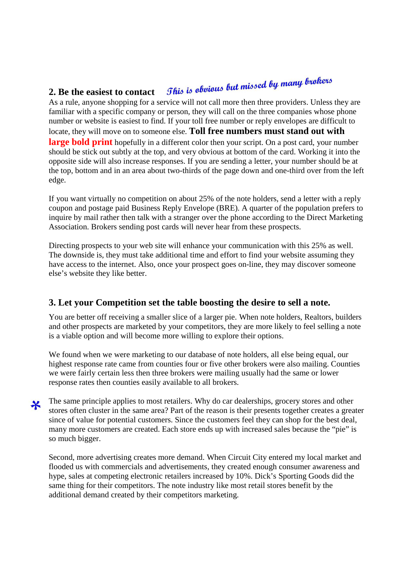## This is obvious but missed by many brokers **2. Be the easiest to contact**

As a rule, anyone shopping for a service will not call more then three providers. Unless they are familiar with a specific company or person, they will call on the three companies whose phone number or website is easiest to find. If your toll free number or reply envelopes are difficult to locate, they will move on to someone else. **Toll free numbers must stand out with large bold print** hopefully in a different color then your script. On a post card, your number should be stick out subtly at the top, and very obvious at bottom of the card. Working it into the opposite side will also increase responses. If you are sending a letter, your number should be at the top, bottom and in an area about two-thirds of the page down and one-third over from the left edge.

If you want virtually no competition on about 25% of the note holders, send a letter with a reply coupon and postage paid Business Reply Envelope (BRE). A quarter of the population prefers to inquire by mail rather then talk with a stranger over the phone according to the Direct Marketing Association. Brokers sending post cards will never hear from these prospects.

Directing prospects to your web site will enhance your communication with this 25% as well. The downside is, they must take additional time and effort to find your website assuming they have access to the internet. Also, once your prospect goes on-line, they may discover someone else's website they like better.

## **3. Let your Competition set the table boosting the desire to sell a note.**

You are better off receiving a smaller slice of a larger pie. When note holders, Realtors, builders and other prospects are marketed by your competitors, they are more likely to feel selling a note is a viable option and will become more willing to explore their options.

We found when we were marketing to our database of note holders, all else being equal, our highest response rate came from counties four or five other brokers were also mailing. Counties we were fairly certain less then three brokers were mailing usually had the same or lower response rates then counties easily available to all brokers.

The same principle applies to most retailers. Why do car dealerships, grocery stores and other ⋇ stores often cluster in the same area? Part of the reason is their presents together creates a greater since of value for potential customers. Since the customers feel they can shop for the best deal, many more customers are created. Each store ends up with increased sales because the "pie" is so much bigger.

Second, more advertising creates more demand. When Circuit City entered my local market and flooded us with commercials and advertisements, they created enough consumer awareness and hype, sales at competing electronic retailers increased by 10%. Dick's Sporting Goods did the same thing for their competitors. The note industry like most retail stores benefit by the additional demand created by their competitors marketing.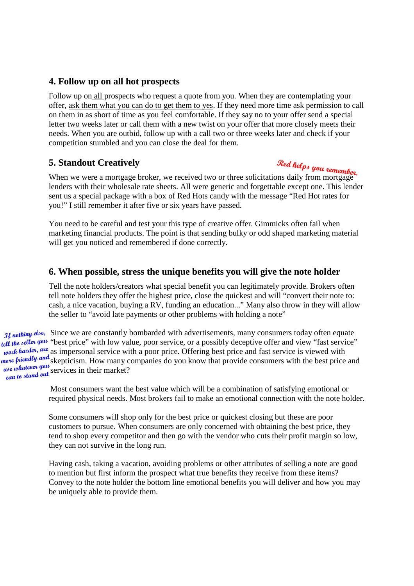## **4. Follow up on all hot prospects**

Follow up on all prospects who request a quote from you. When they are contemplating your offer, ask them what you can do to get them to yes. If they need more time ask permission to call on them in as short of time as you feel comfortable. If they say no to your offer send a special letter two weeks later or call them with a new twist on your offer that more closely meets their needs. When you are outbid, follow up with a call two or three weeks later and check if your competition stumbled and you can close the deal for them.

## **5. Standout Creatively**

**5. Standout Creatively**<br>When we were a mortgage broker, we received two or three solicitations daily from mortgage lenders with their wholesale rate sheets. All were generic and forgettable except one. This lender sent us a special package with a box of Red Hots candy with the message "Red Hot rates for you!" I still remember it after five or six years have passed.

You need to be careful and test your this type of creative offer. Gimmicks often fail when marketing financial products. The point is that sending bulky or odd shaped marketing material will get you noticed and remembered if done correctly.

## **6. When possible, stress the unique benefits you will give the note holder**

Tell the note holders/creators what special benefit you can legitimately provide. Brokers often tell note holders they offer the highest price, close the quickest and will "convert their note to: cash, a nice vacation, buying a RV, funding an education..." Many also throw in they will allow the seller to "avoid late payments or other problems with holding a note"

If nothing else, Since we are constantly bombarded with advertisements, many consumers today often equate tell the seller you "best price" with low value, poor service, or a possibly deceptive offer and view "fast service"<br>were as impersonal service with a poor price. Offering best price and fast service is viewed with as impersonal service with a poor price. Offering best price and fast service is viewed with skepticism. How many companies do you know that provide consumers with the best price and use whenever you services in their market?

> Most consumers want the best value which will be a combination of satisfying emotional or required physical needs. Most brokers fail to make an emotional connection with the note holder.

Some consumers will shop only for the best price or quickest closing but these are poor customers to pursue. When consumers are only concerned with obtaining the best price, they tend to shop every competitor and then go with the vendor who cuts their profit margin so low, they can not survive in the long run.

Having cash, taking a vacation, avoiding problems or other attributes of selling a note are good to mention but first inform the prospect what true benefits they receive from these items? Convey to the note holder the bottom line emotional benefits you will deliver and how you may be uniquely able to provide them.